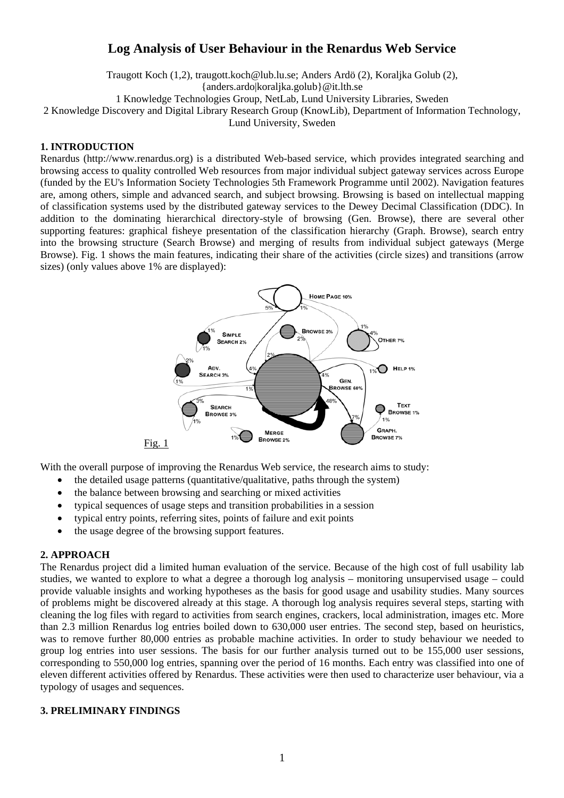# **Log Analysis of User Behaviour in the Renardus Web Service**

Traugott Koch (1,2), traugott.koch@lub.lu.se; Anders Ardö (2), Koraljka Golub (2),

{anders.ardo|koraljka.golub}@it.lth.se

1 Knowledge Technologies Group, NetLab, Lund University Libraries, Sweden

2 Knowledge Discovery and Digital Library Research Group (KnowLib), Department of Information Technology,

Lund University, Sweden

# **1. INTRODUCTION**

Renardus (http://www.renardus.org) is a distributed Web-based service, which provides integrated searching and browsing access to quality controlled Web resources from major individual subject gateway services across Europe (funded by the EU's Information Society Technologies 5th Framework Programme until 2002). Navigation features are, among others, simple and advanced search, and subject browsing. Browsing is based on intellectual mapping of classification systems used by the distributed gateway services to the Dewey Decimal Classification (DDC). In addition to the dominating hierarchical directory-style of browsing (Gen. Browse), there are several other supporting features: graphical fisheye presentation of the classification hierarchy (Graph. Browse), search entry into the browsing structure (Search Browse) and merging of results from individual subject gateways (Merge Browse). Fig. 1 shows the main features, indicating their share of the activities (circle sizes) and transitions (arrow sizes) (only values above 1% are displayed):



With the overall purpose of improving the Renardus Web service, the research aims to study:

- the detailed usage patterns (quantitative/qualitative, paths through the system)
- the balance between browsing and searching or mixed activities
- typical sequences of usage steps and transition probabilities in a session
- typical entry points, referring sites, points of failure and exit points
- the usage degree of the browsing support features.

# **2. APPROACH**

The Renardus project did a limited human evaluation of the service. Because of the high cost of full usability lab studies, we wanted to explore to what a degree a thorough log analysis – monitoring unsupervised usage – could provide valuable insights and working hypotheses as the basis for good usage and usability studies. Many sources of problems might be discovered already at this stage. A thorough log analysis requires several steps, starting with cleaning the log files with regard to activities from search engines, crackers, local administration, images etc. More than 2.3 million Renardus log entries boiled down to 630,000 user entries. The second step, based on heuristics, was to remove further 80,000 entries as probable machine activities. In order to study behaviour we needed to group log entries into user sessions. The basis for our further analysis turned out to be 155,000 user sessions, corresponding to 550,000 log entries, spanning over the period of 16 months. Each entry was classified into one of eleven different activities offered by Renardus. These activities were then used to characterize user behaviour, via a typology of usages and sequences.

#### **3. PRELIMINARY FINDINGS**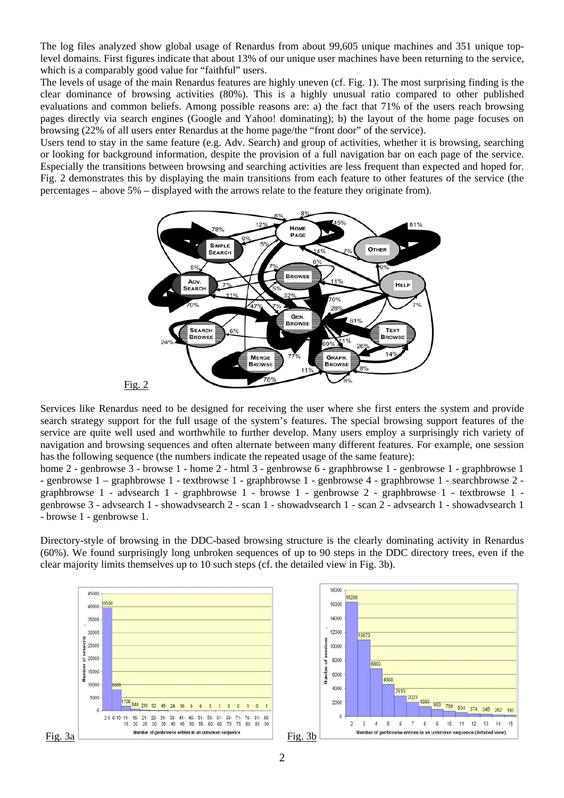The log files analyzed show global usage of Renardus from about 99,605 unique machines and 351 unique toplevel domains. First figures indicate that about 13% of our unique user machines have been returning to the service, which is a comparably good value for "faithful" users.

The levels of usage of the main Renardus features are highly uneven (cf. Fig. 1). The most surprising finding is the clear dominance of browsing activities (80%). This is a highly unusual ratio compared to other published evaluations and common beliefs. Among possible reasons are: a) the fact that 71% of the users reach browsing pages directly via search engines (Google and Yahoo! dominating); b) the layout of the home page focuses on browsing (22% of all users enter Renardus at the home page/the "front door" of the service).

Users tend to stay in the same feature (e.g. Adv. Search) and group of activities, whether it is browsing, searching or looking for background information, despite the provision of a full navigation bar on each page of the service. Especially the transitions between browsing and searching activities are less frequent than expected and hoped for. Fig. 2 demonstrates this by displaying the main transitions from each feature to other features of the service (the percentages – above 5% – displayed with the arrows relate to the feature they originate from).



Services like Renardus need to be designed for receiving the user where she first enters the system and provide search strategy support for the full usage of the system's features. The special browsing support features of the service are quite well used and worthwhile to further develop. Many users employ a surprisingly rich variety of navigation and browsing sequences and often alternate between many different features. For example, one session has the following sequence (the numbers indicate the repeated usage of the same feature):

home 2 - genbrowse 3 - browse 1 - home 2 - html 3 - genbrowse 6 - graphbrowse 1 - genbrowse 1 - graphbrowse 1 - genbrowse 1 – graphbrowse 1 - textbrowse 1 - graphbrowse 1 - genbrowse 4 - graphbrowse 1 - searchbrowse 2 graphbrowse 1 - advsearch 1 - graphbrowse 1 - browse 1 - genbrowse 2 - graphbrowse 1 - textbrowse 1 genbrowse 3 - advsearch 1 - showadvsearch 2 - scan 1 - showadvsearch 1 - scan 2 - advsearch 1 - showadvsearch 1 - browse 1 - genbrowse 1.

Directory-style of browsing in the DDC-based browsing structure is the clearly dominating activity in Renardus (60%). We found surprisingly long unbroken sequences of up to 90 steps in the DDC directory trees, even if the clear majority limits themselves up to 10 such steps (cf. the detailed view in Fig. 3b).